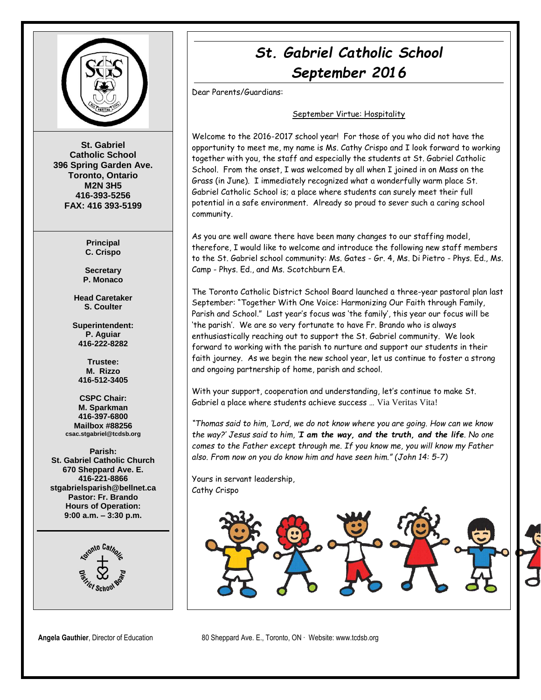

**St. Gabriel Catholic School 396 Spring Garden Ave. Toronto, Ontario M2N 3H5 416-393-5256 FAX: 416 393-5199**

> **Principal C. Crispo**

**Secretary P. Monaco**

**Head Caretaker S. Coulter**

**Superintendent: P. Aguiar 416-222-8282**

**Trustee: M. Rizzo 416-512-3405**

**CSPC Chair: M. Sparkman 416-397-6800 Mailbox #88256 csac.stgabriel@tcdsb.org**

**Parish: St. Gabriel Catholic Church 670 Sheppard Ave. E. 416-221-8866 stgabrielsparish@bellnet.ca Pastor: Fr. Brando Hours of Operation: 9:00 a.m. – 3:30 p.m.**



# *St. Gabriel Catholic School September 2016*

Dear Parents/Guardians:

#### September Virtue: Hospitality

Welcome to the 2016-2017 school year! For those of you who did not have the opportunity to meet me, my name is Ms. Cathy Crispo and I look forward to working together with you, the staff and especially the students at St. Gabriel Catholic School. From the onset, I was welcomed by all when I joined in on Mass on the Grass (in June). I immediately recognized what a wonderfully warm place St. Gabriel Catholic School is; a place where students can surely meet their full potential in a safe environment. Already so proud to sever such a caring school community.

As you are well aware there have been many changes to our staffing model, therefore, I would like to welcome and introduce the following new staff members to the St. Gabriel school community: Ms. Gates - Gr. 4, Ms. Di Pietro - Phys. Ed., Ms. Camp - Phys. Ed., and Ms. Scotchburn EA.

The Toronto Catholic District School Board launched a three-year pastoral plan last September: "Together With One Voice: Harmonizing Our Faith through Family, Parish and School." Last year's focus was 'the family', this year our focus will be 'the parish'. We are so very fortunate to have Fr. Brando who is always enthusiastically reaching out to support the St. Gabriel community. We look forward to working with the parish to nurture and support our students in their faith journey. As we begin the new school year, let us continue to foster a strong and ongoing partnership of home, parish and school.

With your support, cooperation and understanding, let's continue to make St. Gabriel a place where students achieve success … Via Veritas Vita!

*"Thomas said to him, 'Lord, we do not know where you are going. How can we know the way?' Jesus said to him, 'I am the way, and the truth, and the life. No one comes to the Father except through me. If you know me, you will know my Father also. From now on you do know him and have seen him." (John 14: 5-7)* 

Yours in servant leadership, Cathy Crispo



**Angela Gauthier**, Director of Education 80 Sheppard Ave. E., Toronto, ON ∙ Website: www.tcdsb.org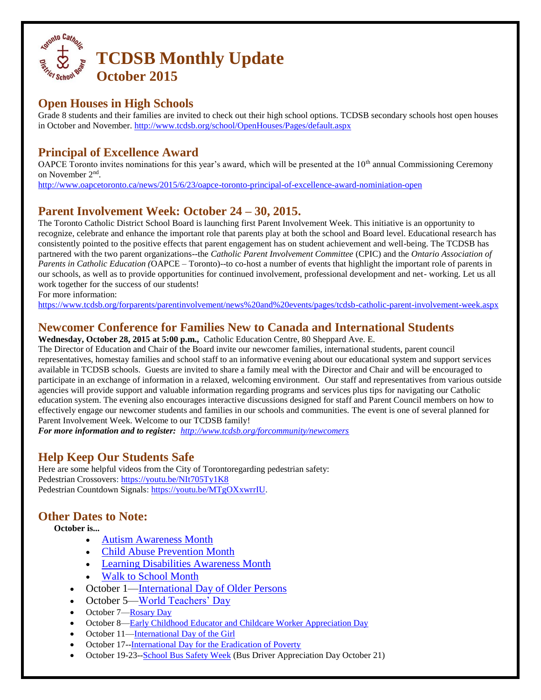

# **Open Houses in High Schools**

Grade 8 students and their families are invited to check out their high school options. TCDSB secondary schools host open houses in October and November.<http://www.tcdsb.org/school/OpenHouses/Pages/default.aspx>

# **Principal of Excellence Award**

OAPCE Toronto invites nominations for this year's award, which will be presented at the  $10<sup>th</sup>$  annual Commissioning Ceremony on November 2nd .

<http://www.oapcetoronto.ca/news/2015/6/23/oapce-toronto-principal-of-excellence-award-nominiation-open>

# **Parent Involvement Week: October 24 – 30, 2015.**

The Toronto Catholic District School Board is launching first Parent Involvement Week. This initiative is an opportunity to recognize, celebrate and enhance the important role that parents play at both the school and Board level. Educational research has consistently pointed to the positive effects that parent engagement has on student achievement and well-being. The TCDSB has partnered with the two parent organizations--the *Catholic Parent Involvement Committee* (CPIC) and the *Ontario Association of Parents in Catholic Education (*OAPCE – Toronto)--to co-host a number of events that highlight the important role of parents in our schools, as well as to provide opportunities for continued involvement, professional development and net- working. Let us all work together for the success of our students!

For more information:

<https://www.tcdsb.org/forparents/parentinvolvement/news%20and%20events/pages/tcdsb-catholic-parent-involvement-week.aspx>

# **Newcomer Conference for Families New to Canada and International Students**

**Wednesday, October 28, 2015 at 5:00 p.m.,** Catholic Education Centre, 80 Sheppard Ave. E.

The Director of Education and Chair of the Board invite our newcomer families, international students, parent council representatives, homestay families and school staff to an informative evening about our educational system and support services available in TCDSB schools. Guests are invited to share a family meal with the Director and Chair and will be encouraged to participate in an exchange of information in a relaxed, welcoming environment. Our staff and representatives from various outside agencies will provide support and valuable information regarding programs and services plus tips for navigating our Catholic education system. The evening also encourages interactive discussions designed for staff and Parent Council members on how to effectively engage our newcomer students and families in our schools and communities. The event is one of several planned for Parent Involvement Week. Welcome to our TCDSB family!

*For more information and to register: <http://www.tcdsb.org/forcommunity/newcomers>*

# **Help Keep Our Students Safe**

Here are some helpful videos from the City of Torontoregarding pedestrian safety: Pedestrian Crossovers:<https://youtu.be/NIt705Ty1K8> Pedestrian Countdown Signals: [https://youtu.be/MTgOXxwrrIU.](https://youtu.be/MTgOXxwrrIU)

### **Other Dates to Note:**

**October is...**

- [Autism Awareness Month](https://www.tcdsb.org/pages/october-is-autism-awareness-month.aspx)
- [Child Abuse Prevention Month](http://www.tcdsb.org/Pages/Child-Abuse-Prevention-Month.aspx)
- [Learning Disabilities Awareness Month](https://www.tcdsb.org/pages/october-is-learning-disabilities-awareness-month.aspx)
- [Walk to School Month](https://www.tcdsb.org/Pages/Walk-to-School-Week.aspx)
- October 1[—International Day of Older Persons](https://www.tcdsb.org/news/othernews/2015/pages/international-day-of-older-persons.aspx)
- October 5[—World Teachers' Day](https://www.tcdsb.org/pages/world-teachers-day-2015.aspx)
- October 7[—Rosary Day](https://www.tcdsb.org/board/nurturingourcatholiccommunity/pages/rosary-day.aspx)
- October 8[—Early Childhood Educator and Childcare Worker Appreciation Day](https://www.tcdsb.org/pages/early-childhood-educators-and-childcare-worker-appreciation-day.aspx)
- October 11[—International Day of the Girl](https://www.tcdsb.org/pages/international-day-of-the-girl.aspx)
- October 17-[-International Day for the Eradication of Poverty](https://www.tcdsb.org/Pages/International-Day-for-Eradication-of-Poverty.aspx)
- October 19-23-[-School Bus Safety Week](https://www.tcdsb.org/Pages/School-Bus-Safety-Week.aspx) (Bus Driver Appreciation Day October 21)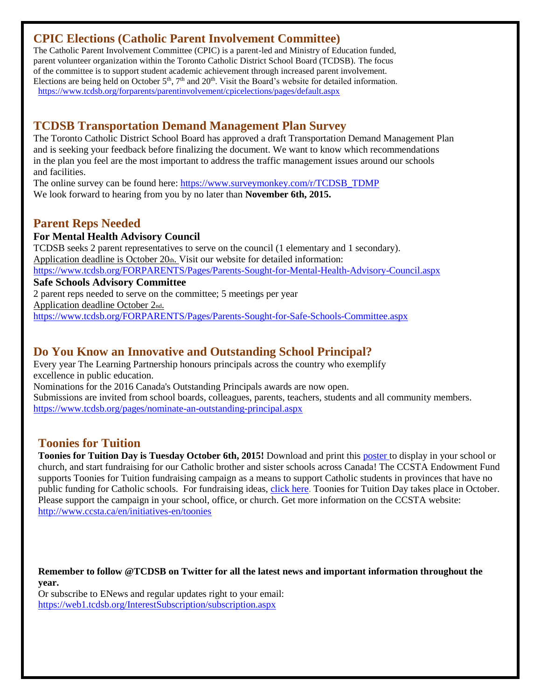# **CPIC Elections (Catholic Parent Involvement Committee)**

The Catholic Parent Involvement Committee (CPIC) is a parent-led and Ministry of Education funded, parent volunteer organization within the Toronto Catholic District School Board (TCDSB). The focus of the committee is to support student academic achievement through increased parent involvement. Elections are being held on October  $5<sup>th</sup>$ ,  $7<sup>th</sup>$  and  $20<sup>th</sup>$ . Visit the Board's website for detailed information. <https://www.tcdsb.org/forparents/parentinvolvement/cpicelections/pages/default.aspx>

# **TCDSB Transportation Demand Management Plan Survey**

The Toronto Catholic District School Board has approved a draft Transportation Demand Management Plan and is seeking your feedback before finalizing the document. We want to know which recommendations in the plan you feel are the most important to address the traffic management issues around our schools and facilities.

The online survey can be found here: [https://www.surveymonkey.com/r/TCDSB\\_TDMP](https://www.surveymonkey.com/r/TCDSB_TDMP)

We look forward to hearing from you by no later than **November 6th, 2015.** 

### **Parent Reps Needed**

### **For Mental Health Advisory Council**

TCDSB seeks 2 parent representatives to serve on the council (1 elementary and 1 secondary). Application deadline is October  $20<sub>th</sub>$ . Visit our website for detailed information: <https://www.tcdsb.org/FORPARENTS/Pages/Parents-Sought-for-Mental-Health-Advisory-Council.aspx>

**Safe Schools Advisory Committee** 

2 parent reps needed to serve on the committee; 5 meetings per year

Application deadline October 2nd.

<https://www.tcdsb.org/FORPARENTS/Pages/Parents-Sought-for-Safe-Schools-Committee.aspx>

# **Do You Know an Innovative and Outstanding School Principal?**

Every year The Learning Partnership honours principals across the country who exemplify excellence in public education. Nominations for the 2016 Canada's Outstanding Principals awards are now open. Submissions are invited from school boards, colleagues, parents, teachers, students and all community members. <https://www.tcdsb.org/pages/nominate-an-outstanding-principal.aspx>

# **Toonies for Tuition**

**Toonies for Tuition Day is Tuesday October 6th, 2015!** Download and print this [poster](http://www.ccsta.ca/images/Endowment_Fund_and_Toonies/Toonies-Poster-No-Date.pdf) [t](http://www.ccsta.ca/images/Endowment_Fund_and_Toonies/Toonies-Poster-No-Date.pdf)o display in your school or church, and start fundraising for our Catholic brother and sister schools across Canada! The CCSTA Endowment Fund supports Toonies for Tuition fundraising campaign as a means to support Catholic students in provinces that have no public funding for Catholic schools. For fundraising ideas, [click here.](http://www.ccsta.ca/en/initiatives-en/toonies/fundraising-resources) Toonies for Tuition Day takes place in October. Please support the campaign in your school, office, or church. Get more information on the CCSTA website: <http://www.ccsta.ca/en/initiatives-en/toonies>

**Remember to follow @TCDSB on Twitter for all the latest news and important information throughout the year.**

Or subscribe to ENews and regular updates right to your email: <https://web1.tcdsb.org/InterestSubscription/subscription.aspx>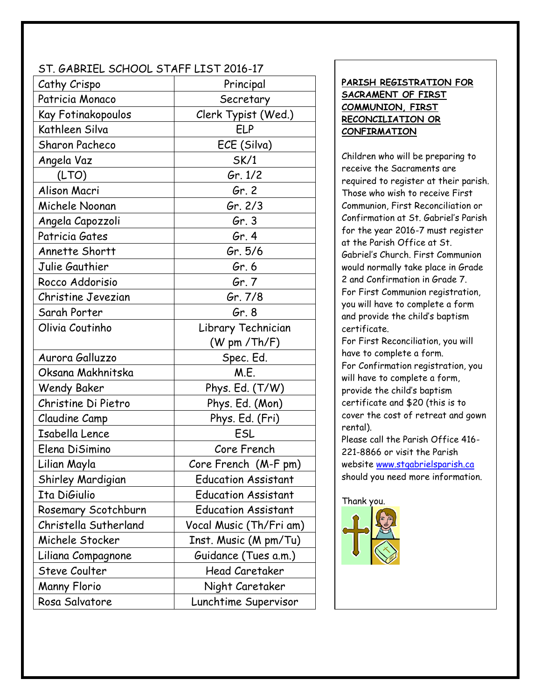# ST. GABRIEL SCHOOL STAFF LIST 2016-17

| Cathy Crispo          | Principal                              |  |
|-----------------------|----------------------------------------|--|
| Patricia Monaco       | Secretary                              |  |
| Kay Fotinakopoulos    | Clerk Typist (Wed.)                    |  |
| Kathleen Silva        | ELP                                    |  |
| <b>Sharon Pacheco</b> | ECE (Silva)                            |  |
| Angela Vaz            | SK/1                                   |  |
| (LTO)                 | Gr. $1/2$                              |  |
| Alison Macri          | Gr. 2                                  |  |
| Michele Noonan        | Gr. 2/3                                |  |
| Angela Capozzoli      | Gr.3                                   |  |
| Patricia Gates        | Gr.4                                   |  |
| Annette Shortt        | Gr. 5/6                                |  |
| Julie Gauthier        | Gr. 6                                  |  |
| Rocco Addorisio       | Gr. 7                                  |  |
| Christine Jevezian    | Gr. 7/8                                |  |
| Sarah Porter          | Gr.8                                   |  |
| Olivia Coutinho       | Library Technician                     |  |
|                       | $(W \text{ pm } / \text{Th}/\text{F})$ |  |
| Aurora Galluzzo       | Spec. Ed.                              |  |
| Oksana Makhnitska     | M.E.                                   |  |
| <b>Wendy Baker</b>    | Phys. Ed. (T/W)                        |  |
| Christine Di Pietro   | Phys. Ed. (Mon)                        |  |
| Claudine Camp         | Phys. Ed. (Fri)                        |  |
| Isabella Lence        | ESL                                    |  |
| Elena DiSimino        | Core French                            |  |
| Lilian Mayla          | Core French (M-F pm)                   |  |
| Shirley Mardigian     | <b>Education Assistant</b>             |  |
| Ita DiGiulio          | <b>Education Assistant</b>             |  |
| Rosemary Scotchburn   | <b>Education Assistant</b>             |  |
| Christella Sutherland | Vocal Music (Th/Fri am)                |  |
| Michele Stocker       | Inst. Music (M pm/Tu)                  |  |
| Liliana Compagnone    | Guidance (Tues a.m.)                   |  |
| Steve Coulter         | <b>Head Caretaker</b>                  |  |
| <b>Manny Florio</b>   | Night Caretaker                        |  |
| Rosa Salvatore        | Lunchtime Supervisor                   |  |

### **PARISH REGISTRATION FOR SACRAMENT OF FIRST COMMUNION, FIRST RECONCILIATION OR CONFIRMATION**

Children who will be preparing to receive the Sacraments are required to register at their parish. Those who wish to receive First Communion, First Reconciliation or Confirmation at St. Gabriel's Parish for the year 2016-7 must register at the Parish Office at St. Gabriel's Church. First Communion would normally take place in Grade 2 and Confirmation in Grade 7. For First Communion registration, you will have to complete a form and provide the child's baptism certificate.

For First Reconciliation, you will have to complete a form. For Confirmation registration, you will have to complete a form, provide the child's baptism certificate and \$20 (this is to cover the cost of retreat and gown rental).

Please call the Parish Office 416- 221-8866 or visit the Parish website [www.stgabrielsparish.ca](http://www.stgabrielsparish.ca/) should you need more information.

Thank you.

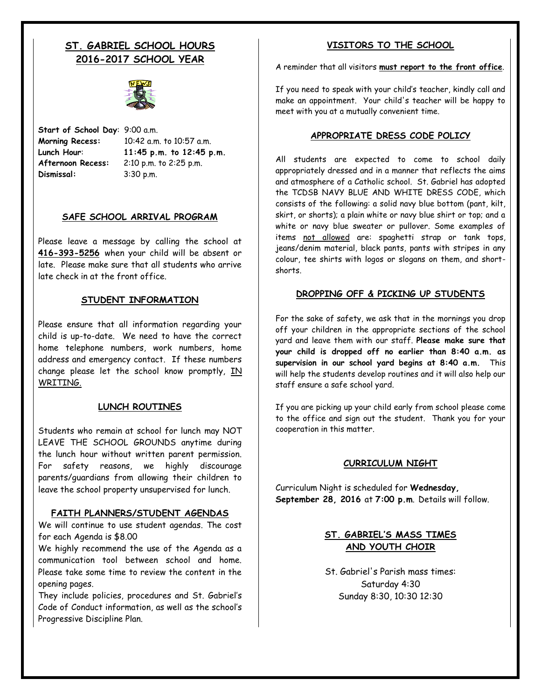# **ST. GABRIEL SCHOOL HOURS 2016-2017 SCHOOL YEAR**



**Start of School Day**: 9:00 a.m. **Afternoon Recess:** 2:10 p.m. to 2:25 p.m. **Dismissal:** 3:30 p.m.

**Morning Recess:** 10:42 a.m. to 10:57 a.m. **Lunch Hour**: **11:45 p.m. to 12:45 p.m.**

### **SAFE SCHOOL ARRIVAL PROGRAM**

Please leave a message by calling the school at **416-393-5256** when your child will be absent or late. Please make sure that all students who arrive late check in at the front office.

### **STUDENT INFORMATION**

Please ensure that all information regarding your child is up-to-date. We need to have the correct home telephone numbers, work numbers, home address and emergency contact. If these numbers change please let the school know promptly, IN WRITING.

### **LUNCH ROUTINES**

Students who remain at school for lunch may NOT LEAVE THE SCHOOL GROUNDS anytime during the lunch hour without written parent permission. For safety reasons, we highly discourage parents/guardians from allowing their children to leave the school property unsupervised for lunch.

### **FAITH PLANNERS/STUDENT AGENDAS**

We will continue to use student agendas. The cost for each Agenda is \$8.00

We highly recommend the use of the Agenda as a communication tool between school and home. Please take some time to review the content in the opening pages.

They include policies, procedures and St. Gabriel's Code of Conduct information, as well as the school's Progressive Discipline Plan.

### **VISITORS TO THE SCHOOL**

A reminder that all visitors **must report to the front office**.

If you need to speak with your child's teacher, kindly call and make an appointment. Your child's teacher will be happy to meet with you at a mutually convenient time.

### **APPROPRIATE DRESS CODE POLICY**

All students are expected to come to school daily appropriately dressed and in a manner that reflects the aims and atmosphere of a Catholic school. St. Gabriel has adopted the TCDSB NAVY BLUE AND WHITE DRESS CODE, which consists of the following: a solid navy blue bottom (pant, kilt, skirt, or shorts); a plain white or navy blue shirt or top; and a white or navy blue sweater or pullover. Some examples of items not allowed are: spaghetti strap or tank tops, jeans/denim material, black pants, pants with stripes in any colour, tee shirts with logos or slogans on them, and shortshorts.

### **DROPPING OFF & PICKING UP STUDENTS**

For the sake of safety, we ask that in the mornings you drop off your children in the appropriate sections of the school yard and leave them with our staff. **Please make sure that your child is dropped off no earlier than 8:40 a.m. as supervision in our school yard begins at 8:40 a.m.** This will help the students develop routines and it will also help our staff ensure a safe school yard.

If you are picking up your child early from school please come to the office and sign out the student. Thank you for your cooperation in this matter.

### **CURRICULUM NIGHT**

Curriculum Night is scheduled for **Wednesday, September 28, 2016** at **7:00 p.m**. Details will follow.

### **ST. GABRIEL'S MASS TIMES AND YOUTH CHOIR**

St. Gabriel's Parish mass times: Saturday 4:30 Sunday 8:30, 10:30 12:30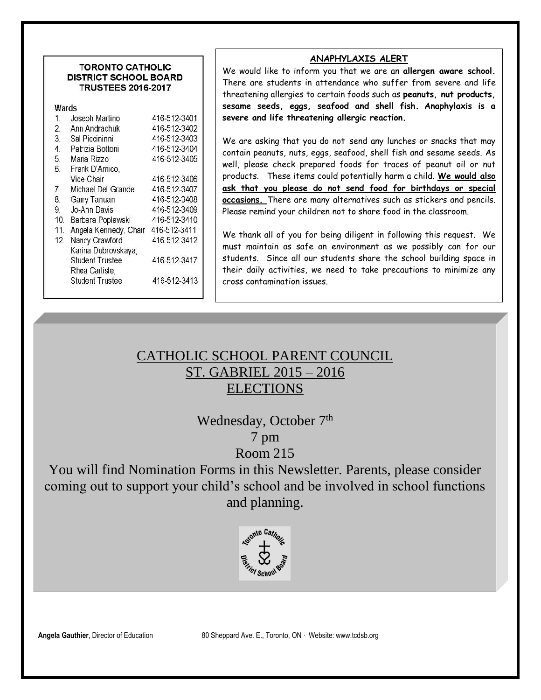#### **TORONTO CATHOLIC DISTRICT SCHOOL BOARD TRUSTEES 2016-2017**

| Wards |                       |              |
|-------|-----------------------|--------------|
| 1.    | Joseph Martino        | 416-512-3401 |
| 2.    | Ann Andrachuk         | 416-512-3402 |
| 3.    | Sal Piccininni        | 416-512-3403 |
| 4.    | Patrizia Bottoni      | 416-512-3404 |
| 5.    | Maria Rizzo           | 416-512-3405 |
| 6.    | Frank D'Amico,        |              |
|       | Vice-Chair            | 416-512-3406 |
| 7.    | Michael Del Grande    | 416-512-3407 |
| 8.    | Garry Tanuan          | 416-512-3408 |
| 9.    | Jo-Ann Davis          | 416-512-3409 |
| 10.   | Barbara Poplawski     | 416-512-3410 |
| 11.   | Angela Kennedy, Chair | 416-512-3411 |
| 12.   | Nancy Crawford        | 416-512-3412 |

Karina Dubrovskava.

**Student Trustee** Rhea Carlisle. **Student Trustee** 

416-512-3417

416-512-3413

### **ANAPHYLAXIS ALERT**

We would like to inform you that we are an **allergen aware school.**  There are students in attendance who suffer from severe and life threatening allergies to certain foods such as **peanuts, nut products, sesame seeds, eggs, seafood and shell fish. Anaphylaxis is a severe and life threatening allergic reaction.** 

We are asking that you do not send any lunches or snacks that may contain peanuts, nuts, eggs, seafood, shell fish and sesame seeds. As well, please check prepared foods for traces of peanut oil or nut products. These items could potentially harm a child. **We would also ask that you please do not send food for birthdays or special occasions.** There are many alternatives such as stickers and pencils. Please remind your children not to share food in the classroom.

We thank all of you for being diligent in following this request. We must maintain as safe an environment as we possibly can for our students. Since all our students share the school building space in their daily activities, we need to take precautions to minimize any cross contamination issues.

# CATHOLIC SCHOOL PARENT COUNCIL ST. GABRIEL 2015 – 2016 **ELECTIONS**

Wednesday, October 7<sup>th</sup> 7 pm Room 215

You will find Nomination Forms in this Newsletter. Parents, please consider coming out to support your child's school and be involved in school functions and planning.



**Angela Gauthier**, Director of Education 80 Sheppard Ave. E., Toronto, ON ∙ Website: www.tcdsb.org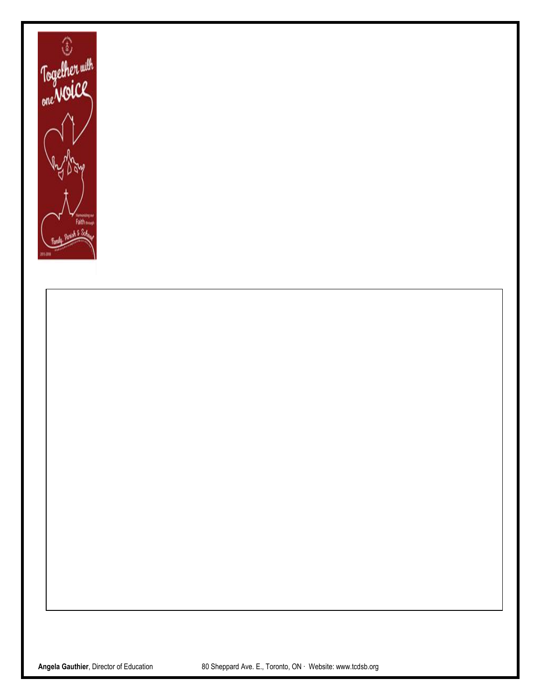